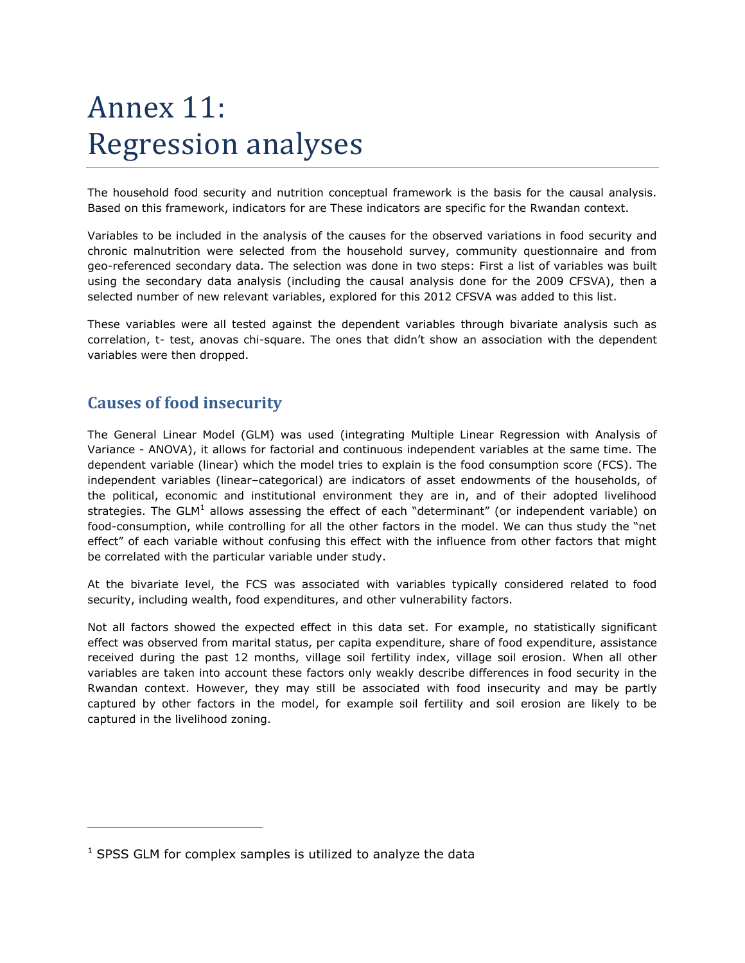# Annex 11: Regression analyses

The household food security and nutrition conceptual framework is the basis for the causal analysis. Based on this framework, indicators for are These indicators are specific for the Rwandan context.

Variables to be included in the analysis of the causes for the observed variations in food security and chronic malnutrition were selected from the household survey, community questionnaire and from geo-referenced secondary data. The selection was done in two steps: First a list of variables was built using the secondary data analysis (including the causal analysis done for the 2009 CFSVA), then a selected number of new relevant variables, explored for this 2012 CFSVA was added to this list.

These variables were all tested against the dependent variables through bivariate analysis such as correlation, t- test, anovas chi-square. The ones that didn't show an association with the dependent variables were then dropped.

# **Causes of food insecurity**

The General Linear Model (GLM) was used (integrating Multiple Linear Regression with Analysis of Variance - ANOVA), it allows for factorial and continuous independent variables at the same time. The dependent variable (linear) which the model tries to explain is the food consumption score (FCS). The independent variables (linear–categorical) are indicators of asset endowments of the households, of the political, economic and institutional environment they are in, and of their adopted livelihood strategies. The GLM<sup>1</sup> allows assessing the effect of each "determinant" (or independent variable) on food-consumption, while controlling for all the other factors in the model. We can thus study the "net effect" of each variable without confusing this effect with the influence from other factors that might be correlated with the particular variable under study.

At the bivariate level, the FCS was associated with variables typically considered related to food security, including wealth, food expenditures, and other vulnerability factors.

Not all factors showed the expected effect in this data set. For example, no statistically significant effect was observed from marital status, per capita expenditure, share of food expenditure, assistance received during the past 12 months, village soil fertility index, village soil erosion. When all other variables are taken into account these factors only weakly describe differences in food security in the Rwandan context. However, they may still be associated with food insecurity and may be partly captured by other factors in the model, for example soil fertility and soil erosion are likely to be captured in the livelihood zoning.

 $1$  SPSS GLM for complex samples is utilized to analyze the data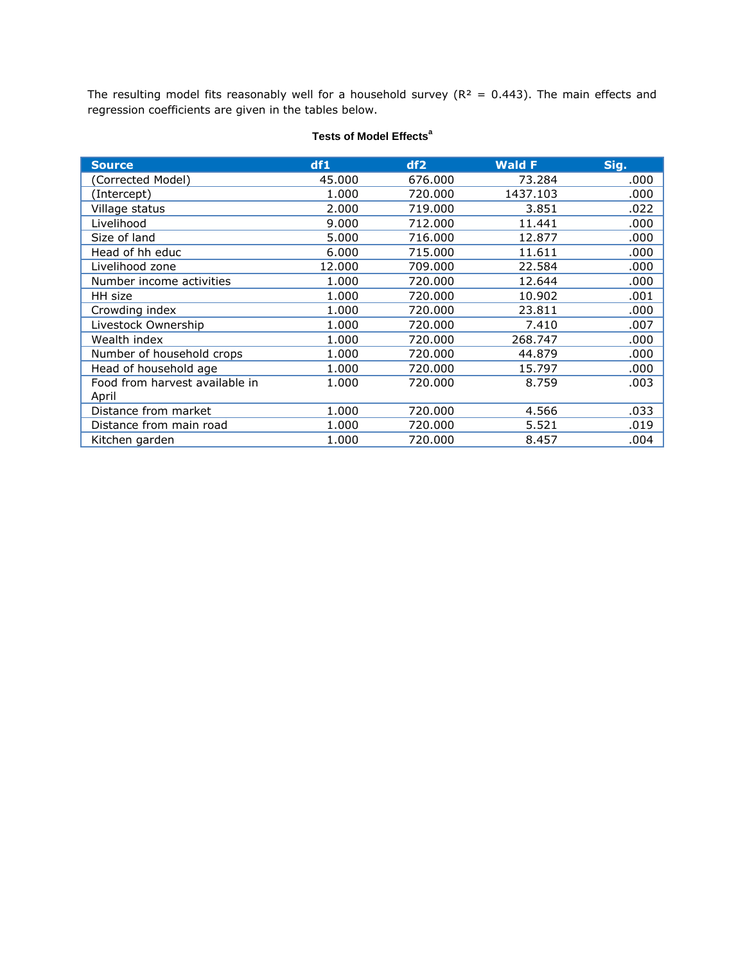The resulting model fits reasonably well for a household survey ( $R<sup>2</sup> = 0.443$ ). The main effects and regression coefficients are given in the tables below.

| <b>Source</b>                  | df1    | df2     | <b>Wald F</b> | Sig. |
|--------------------------------|--------|---------|---------------|------|
| (Corrected Model)              | 45,000 | 676,000 | 73.284        | .000 |
| (Intercept)                    | 1.000  | 720,000 | 1437.103      | .000 |
| Village status                 | 2.000  | 719.000 | 3.851         | .022 |
| Livelihood                     | 9.000  | 712.000 | 11.441        | .000 |
| Size of land                   | 5.000  | 716.000 | 12.877        | .000 |
| Head of hh educ                | 6.000  | 715.000 | 11.611        | .000 |
| Livelihood zone                | 12.000 | 709.000 | 22.584        | .000 |
| Number income activities       | 1.000  | 720,000 | 12.644        | .000 |
| HH size                        | 1.000  | 720.000 | 10.902        | .001 |
| Crowding index                 | 1.000  | 720,000 | 23.811        | .000 |
| Livestock Ownership            | 1.000  | 720,000 | 7.410         | .007 |
| Wealth index                   | 1.000  | 720,000 | 268.747       | .000 |
| Number of household crops      | 1.000  | 720,000 | 44.879        | .000 |
| Head of household age          | 1.000  | 720.000 | 15.797        | .000 |
| Food from harvest available in | 1.000  | 720,000 | 8.759         | .003 |
| April                          |        |         |               |      |
| Distance from market           | 1.000  | 720,000 | 4.566         | .033 |
| Distance from main road        | 1.000  | 720,000 | 5.521         | .019 |
| Kitchen garden                 | 1.000  | 720,000 | 8.457         | .004 |

## **Tests of Model Effects<sup>a</sup>**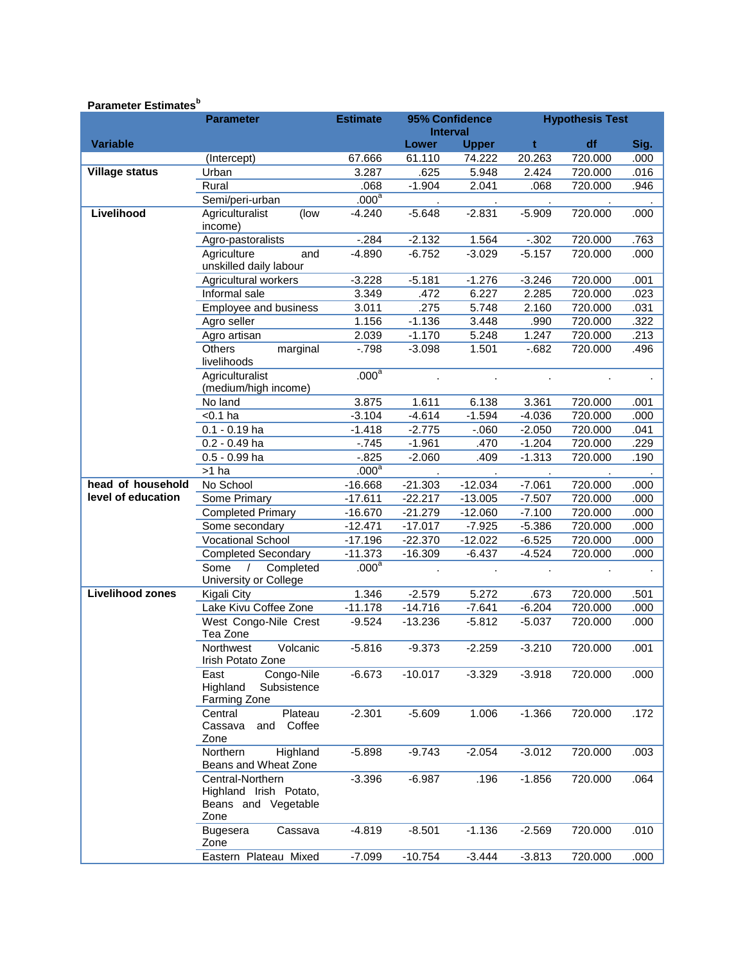## **Parameter Estimates<sup>b</sup>**

|                         | <b>Parameter</b>                                                          | <b>Estimate</b>   | 95% Confidence<br><b>Interval</b> |              | <b>Hypothesis Test</b> |         |      |
|-------------------------|---------------------------------------------------------------------------|-------------------|-----------------------------------|--------------|------------------------|---------|------|
| <b>Variable</b>         |                                                                           |                   | <b>Lower</b>                      | <b>Upper</b> | t                      | df      | Sig. |
|                         | (Intercept)                                                               | 67.666            | 61.110                            | 74.222       | 20.263                 | 720.000 | .000 |
| <b>Village status</b>   | Urban                                                                     | 3.287             | .625                              | 5.948        | 2.424                  | 720.000 | .016 |
|                         | Rural                                                                     | .068              | $-1.904$                          | 2.041        | .068                   | 720.000 | .946 |
|                         | Semi/peri-urban                                                           | .000 <sup>a</sup> |                                   |              |                        |         |      |
| Livelihood              | Agriculturalist<br>(low                                                   | $-4.240$          | $-5.648$                          | $-2.831$     | $-5.909$               | 720.000 | .000 |
|                         | income)                                                                   |                   |                                   |              |                        |         |      |
|                         | Agro-pastoralists                                                         | $-284$            | $-2.132$                          | 1.564        | $-.302$                | 720.000 | .763 |
|                         | Agriculture<br>and                                                        | $-4.890$          | $-6.752$                          | $-3.029$     | $-5.157$               | 720.000 | .000 |
|                         | unskilled daily labour                                                    |                   |                                   |              |                        |         |      |
|                         | Agricultural workers                                                      | $-3.228$          | $-5.181$                          | $-1.276$     | $-3.246$               | 720.000 | .001 |
|                         | Informal sale                                                             | 3.349             | .472                              | 6.227        | 2.285                  | 720.000 | .023 |
|                         | Employee and business                                                     | 3.011             | .275                              | 5.748        | 2.160                  | 720.000 | .031 |
|                         | Agro seller                                                               | 1.156             | $-1.136$                          | 3.448        | .990                   | 720.000 | .322 |
|                         | Agro artisan                                                              | 2.039             | $-1.170$                          | 5.248        | 1.247                  | 720.000 | .213 |
|                         | Others<br>marginal<br>livelihoods                                         | $-798$            | $-3.098$                          | 1.501        | $-682$                 | 720.000 | .496 |
|                         | Agriculturalist                                                           | .000 <sup>a</sup> |                                   |              |                        |         |      |
|                         | (medium/high income)                                                      |                   |                                   |              |                        |         |      |
|                         | No land                                                                   | 3.875             | 1.611                             | 6.138        | 3.361                  | 720.000 | .001 |
|                         | $< 0.1$ ha                                                                | $-3.104$          | $-4.614$                          | $-1.594$     | $-4.036$               | 720.000 | .000 |
|                         | $0.1 - 0.19$ ha                                                           | $-1.418$          | $-2.775$                          | $-060$       | $-2.050$               | 720.000 | .041 |
|                         | $0.2 - 0.49$ ha                                                           | $-745$            | $-1.961$                          | .470         | $-1.204$               | 720.000 | .229 |
|                         | 0.5 - 0.99 ha                                                             | $-0.825$          | $-2.060$                          | .409         | $-1.313$               | 720.000 | .190 |
|                         | >1 ha                                                                     | .000 <sup>a</sup> |                                   |              |                        |         |      |
| head of household       | No School                                                                 | $-16.668$         | $-21.303$                         | $-12.034$    | $-7.061$               | 720.000 | .000 |
| level of education      | Some Primary                                                              | $-17.611$         | $-22.217$                         | $-13.005$    | $-7.507$               | 720.000 | .000 |
|                         | <b>Completed Primary</b>                                                  | $-16.670$         | $-21.279$                         | $-12.060$    | $-7.100$               | 720.000 | .000 |
|                         | Some secondary                                                            | $-12.471$         | $-17.017$                         | $-7.925$     | $-5.386$               | 720.000 | .000 |
|                         | <b>Vocational School</b>                                                  | $-17.196$         | $-22.370$                         | $-12.022$    | $-6.525$               | 720.000 | .000 |
|                         | <b>Completed Secondary</b>                                                | $-11.373$         | $-16.309$                         | $-6.437$     | $-4.524$               | 720.000 | .000 |
|                         | Some<br>$\prime$<br>Completed<br>University or College                    | .000 <sup>a</sup> |                                   |              |                        |         |      |
| <b>Livelihood zones</b> | Kigali City                                                               | 1.346             | $-2.579$                          | 5.272        | .673                   | 720.000 | .501 |
|                         | Lake Kivu Coffee Zone                                                     | $-11.178$         | $-14.716$                         | $-7.641$     | $-6.204$               | 720.000 | .000 |
|                         | West Congo-Nile Crest                                                     | $-9.524$          | $-13.236$                         | $-5.812$     | $-5.037$               | 720.000 | .000 |
|                         | Tea Zone                                                                  |                   |                                   |              |                        |         |      |
|                         | Volcanic<br>Northwest<br>Irish Potato Zone                                | $-5.816$          | $-9.373$                          | $-2.259$     | $-3.210$               | 720.000 | .001 |
|                         | East<br>Congo-Nile<br>Highland<br>Subsistence<br>Farming Zone             | $-6.673$          | $-10.017$                         | $-3.329$     | $-3.918$               | 720.000 | .000 |
|                         | Plateau<br>Central<br>Coffee<br>Cassava<br>and<br>Zone                    | $-2.301$          | $-5.609$                          | 1.006        | $-1.366$               | 720.000 | .172 |
|                         | Highland<br>Northern<br>Beans and Wheat Zone                              | $-5.898$          | $-9.743$                          | $-2.054$     | $-3.012$               | 720.000 | .003 |
|                         | Central-Northern<br>Highland Irish Potato,<br>Beans and Vegetable<br>Zone | $-3.396$          | $-6.987$                          | .196         | $-1.856$               | 720.000 | .064 |
|                         | <b>Bugesera</b><br>Cassava<br>Zone                                        | $-4.819$          | $-8.501$                          | $-1.136$     | $-2.569$               | 720.000 | .010 |
|                         | Eastern Plateau Mixed                                                     | $-7.099$          | $-10.754$                         | $-3.444$     | $-3.813$               | 720.000 | .000 |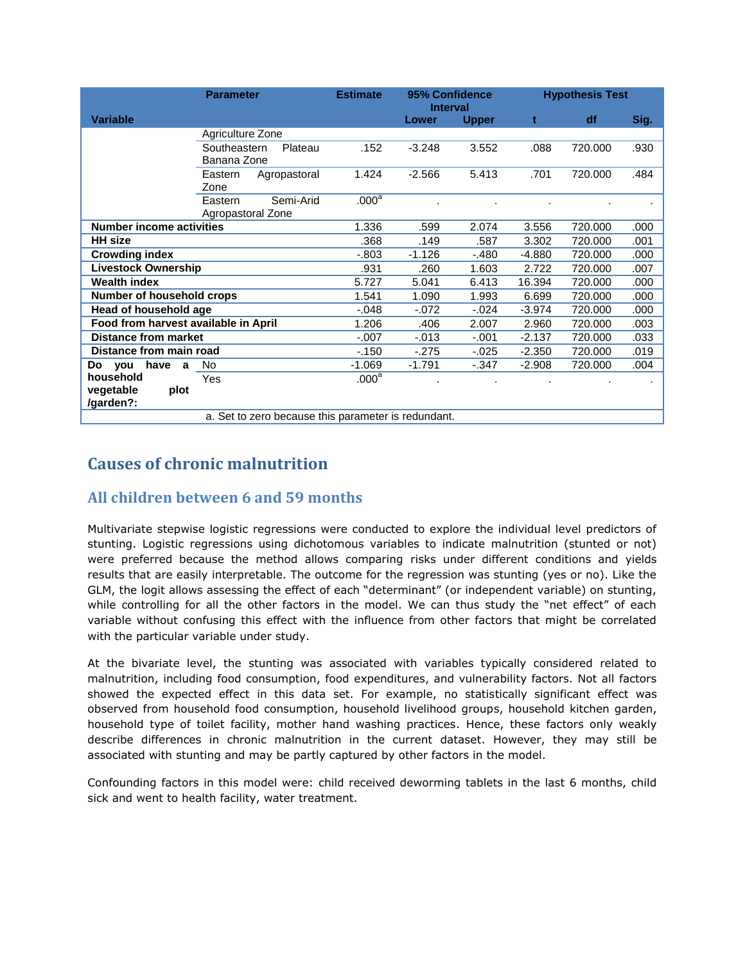|                                      | <b>Parameter</b>                                    | <b>Estimate</b>   | 95% Confidence<br><b>Interval</b> |              |          | <b>Hypothesis Test</b> |      |
|--------------------------------------|-----------------------------------------------------|-------------------|-----------------------------------|--------------|----------|------------------------|------|
| <b>Variable</b>                      |                                                     |                   | Lower                             | <b>Upper</b> | t        | df                     | Sig. |
|                                      | Agriculture Zone                                    |                   |                                   |              |          |                        |      |
|                                      | Southeastern<br>Plateau<br>Banana Zone              | .152              | $-3.248$                          | 3.552        | .088     | 720.000                | .930 |
|                                      | Agropastoral<br>Eastern<br>Zone                     | 1.424             | $-2.566$                          | 5.413        | .701     | 720.000                | .484 |
|                                      | Semi-Arid<br>Eastern<br>Agropastoral Zone           | .000 <sup>a</sup> |                                   |              |          |                        |      |
| <b>Number income activities</b>      |                                                     | 1.336             | .599                              | 2.074        | 3.556    | 720.000                | .000 |
| <b>HH</b> size                       |                                                     | .368              | .149                              | .587         | 3.302    | 720.000                | .001 |
| <b>Crowding index</b>                |                                                     | $-0.803$          | $-1.126$                          | $-.480$      | $-4.880$ | 720.000                | .000 |
| <b>Livestock Ownership</b>           |                                                     | .931              | .260                              | 1.603        | 2.722    | 720.000                | .007 |
| <b>Wealth index</b>                  |                                                     | 5.727             | 5.041                             | 6.413        | 16.394   | 720.000                | .000 |
| Number of household crops            |                                                     | 1.541             | 1.090                             | 1.993        | 6.699    | 720.000                | .000 |
| Head of household age                |                                                     | $-.048$           | $-072$                            | $-0.024$     | $-3.974$ | 720.000                | .000 |
| Food from harvest available in April |                                                     | 1.206             | .406                              | 2.007        | 2.960    | 720.000                | .003 |
| <b>Distance from market</b>          |                                                     | $-.007$           | $-0.013$                          | $-.001$      | $-2.137$ | 720.000                | .033 |
| Distance from main road              |                                                     | $-150$            | $-275$                            | $-0.025$     | $-2.350$ | 720.000                | .019 |
| have<br>Do<br>you<br>a               | No                                                  | $-1.069$          | $-1.791$                          | $-0.347$     | $-2.908$ | 720.000                | .004 |
| household                            | Yes                                                 | .000 <sup>a</sup> |                                   |              |          |                        |      |
| vegetable<br>plot<br>/garden?:       |                                                     |                   |                                   |              |          |                        |      |
|                                      | a. Set to zero because this parameter is redundant. |                   |                                   |              |          |                        |      |

# **Causes of chronic malnutrition**

## **All children between 6 and 59 months**

Multivariate stepwise logistic regressions were conducted to explore the individual level predictors of stunting. Logistic regressions using dichotomous variables to indicate malnutrition (stunted or not) were preferred because the method allows comparing risks under different conditions and yields results that are easily interpretable. The outcome for the regression was stunting (yes or no). Like the GLM, the logit allows assessing the effect of each "determinant" (or independent variable) on stunting, while controlling for all the other factors in the model. We can thus study the "net effect" of each variable without confusing this effect with the influence from other factors that might be correlated with the particular variable under study.

At the bivariate level, the stunting was associated with variables typically considered related to malnutrition, including food consumption, food expenditures, and vulnerability factors. Not all factors showed the expected effect in this data set. For example, no statistically significant effect was observed from household food consumption, household livelihood groups, household kitchen garden, household type of toilet facility, mother hand washing practices. Hence, these factors only weakly describe differences in chronic malnutrition in the current dataset. However, they may still be associated with stunting and may be partly captured by other factors in the model.

Confounding factors in this model were: child received deworming tablets in the last 6 months, child sick and went to health facility, water treatment.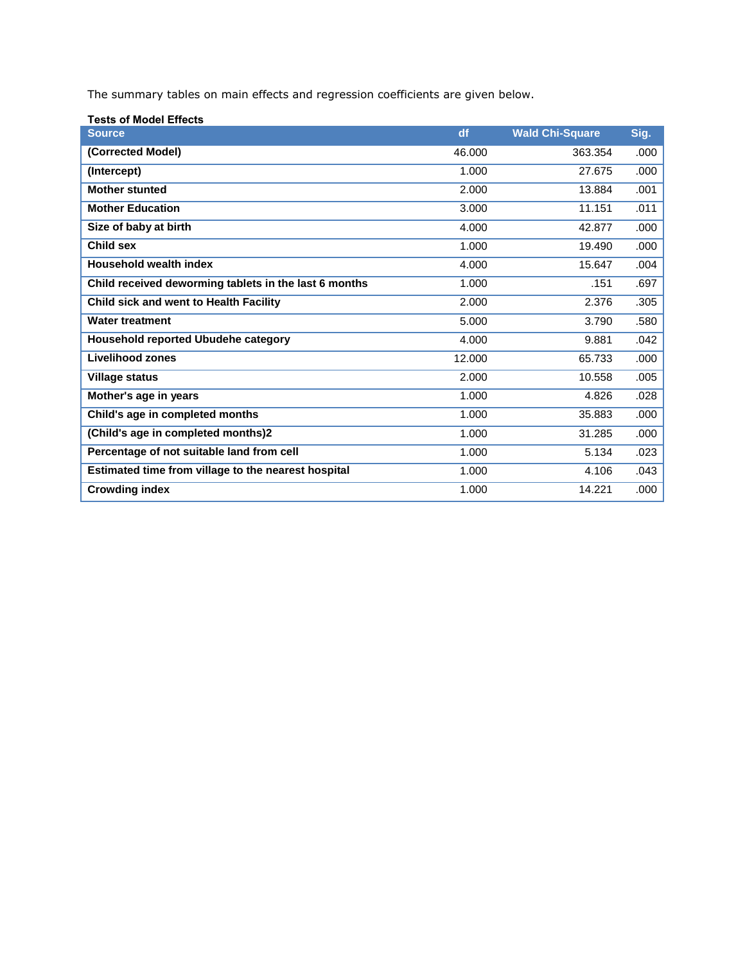The summary tables on main effects and regression coefficients are given below.

| <b>Tests of Model Effects</b>                         |        |                        |      |
|-------------------------------------------------------|--------|------------------------|------|
| <b>Source</b>                                         | df     | <b>Wald Chi-Square</b> | Sig. |
| (Corrected Model)                                     | 46.000 | 363.354                | .000 |
| (Intercept)                                           | 1.000  | 27.675                 | .000 |
| <b>Mother stunted</b>                                 | 2.000  | 13.884                 | .001 |
| <b>Mother Education</b>                               | 3.000  | 11.151                 | .011 |
| Size of baby at birth                                 | 4.000  | 42.877                 | .000 |
| Child sex                                             | 1.000  | 19.490                 | .000 |
| <b>Household wealth index</b>                         | 4.000  | 15.647                 | .004 |
| Child received deworming tablets in the last 6 months | 1.000  | .151                   | .697 |
| Child sick and went to Health Facility                | 2.000  | 2.376                  | .305 |
| <b>Water treatment</b>                                | 5.000  | 3.790                  | .580 |
| <b>Household reported Ubudehe category</b>            | 4.000  | 9.881                  | .042 |
| <b>Livelihood zones</b>                               | 12.000 | 65.733                 | .000 |
| <b>Village status</b>                                 | 2.000  | 10.558                 | .005 |
| Mother's age in years                                 | 1.000  | 4.826                  | .028 |
| Child's age in completed months                       | 1.000  | 35.883                 | .000 |
| (Child's age in completed months)2                    | 1.000  | 31.285                 | .000 |
| Percentage of not suitable land from cell             | 1.000  | 5.134                  | .023 |
| Estimated time from village to the nearest hospital   | 1.000  | 4.106                  | .043 |
| <b>Crowding index</b>                                 | 1.000  | 14.221                 | .000 |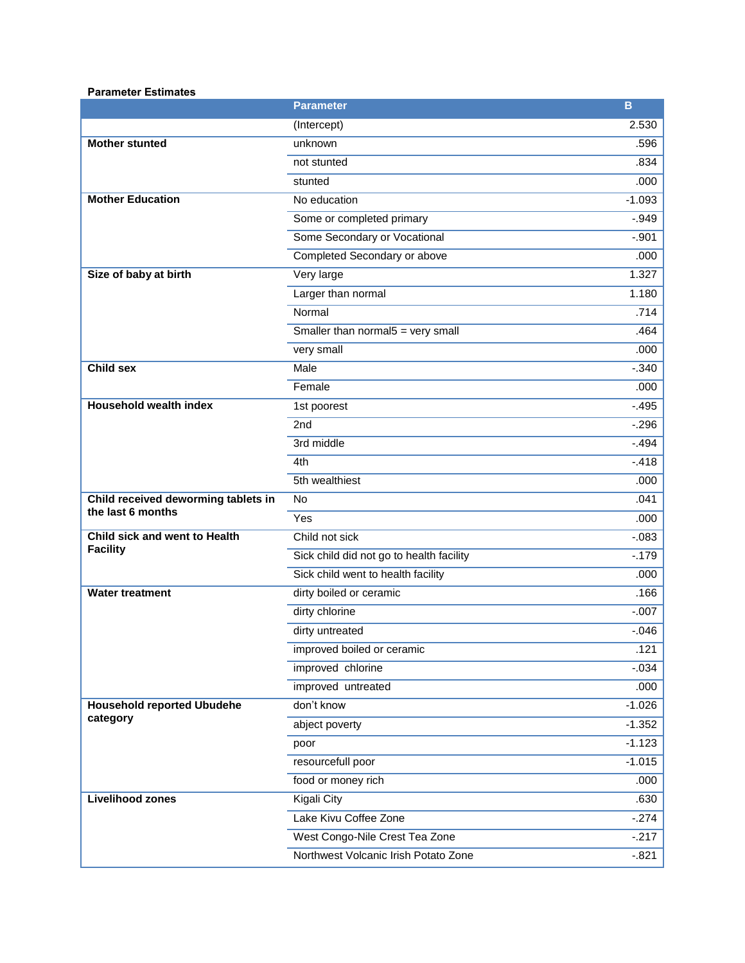### **Parameter Estimates**

|                                                          | <b>Parameter</b>                         | B        |
|----------------------------------------------------------|------------------------------------------|----------|
|                                                          | (Intercept)                              | 2.530    |
| <b>Mother stunted</b>                                    | unknown                                  | .596     |
|                                                          | not stunted                              | .834     |
|                                                          | stunted                                  | .000     |
| <b>Mother Education</b>                                  | No education                             | $-1.093$ |
|                                                          | Some or completed primary                | $-0.949$ |
|                                                          | Some Secondary or Vocational             | $-.901$  |
|                                                          | Completed Secondary or above             | .000     |
| Size of baby at birth                                    | Very large                               | 1.327    |
|                                                          | Larger than normal                       | 1.180    |
|                                                          | Normal                                   | .714     |
|                                                          | Smaller than normal $5$ = very small     | .464     |
|                                                          | very small                               | .000     |
| <b>Child sex</b>                                         | Male                                     | $-.340$  |
|                                                          | Female                                   | .000     |
| <b>Household wealth index</b>                            | 1st poorest                              | $-.495$  |
|                                                          | 2nd                                      | $-296$   |
|                                                          | 3rd middle                               | $-.494$  |
|                                                          | 4th                                      | $-.418$  |
|                                                          | 5th wealthiest                           | .000     |
| Child received deworming tablets in<br>the last 6 months | No                                       | .041     |
|                                                          | Yes                                      | .000     |
| Child sick and went to Health                            | Child not sick                           | $-0.083$ |
| <b>Facility</b>                                          | Sick child did not go to health facility | $-.179$  |
|                                                          | Sick child went to health facility       | .000     |
| <b>Water treatment</b>                                   | dirty boiled or ceramic                  | .166     |
|                                                          | dirty chlorine                           | $-.007$  |
|                                                          | dirty untreated                          | $-.046$  |
|                                                          | improved boiled or ceramic               | .121     |
|                                                          | improved chlorine                        | $-0.034$ |
|                                                          | improved untreated                       | .000     |
| <b>Household reported Ubudehe</b>                        | don't know                               | $-1.026$ |
| category                                                 | abject poverty                           | $-1.352$ |
|                                                          | poor                                     | $-1.123$ |
|                                                          | resourcefull poor                        | $-1.015$ |
|                                                          | food or money rich                       | .000     |
| <b>Livelihood zones</b>                                  | Kigali City                              | .630     |
|                                                          | Lake Kivu Coffee Zone                    | $-274$   |
|                                                          | West Congo-Nile Crest Tea Zone           | $-217$   |
|                                                          | Northwest Volcanic Irish Potato Zone     | $-0.821$ |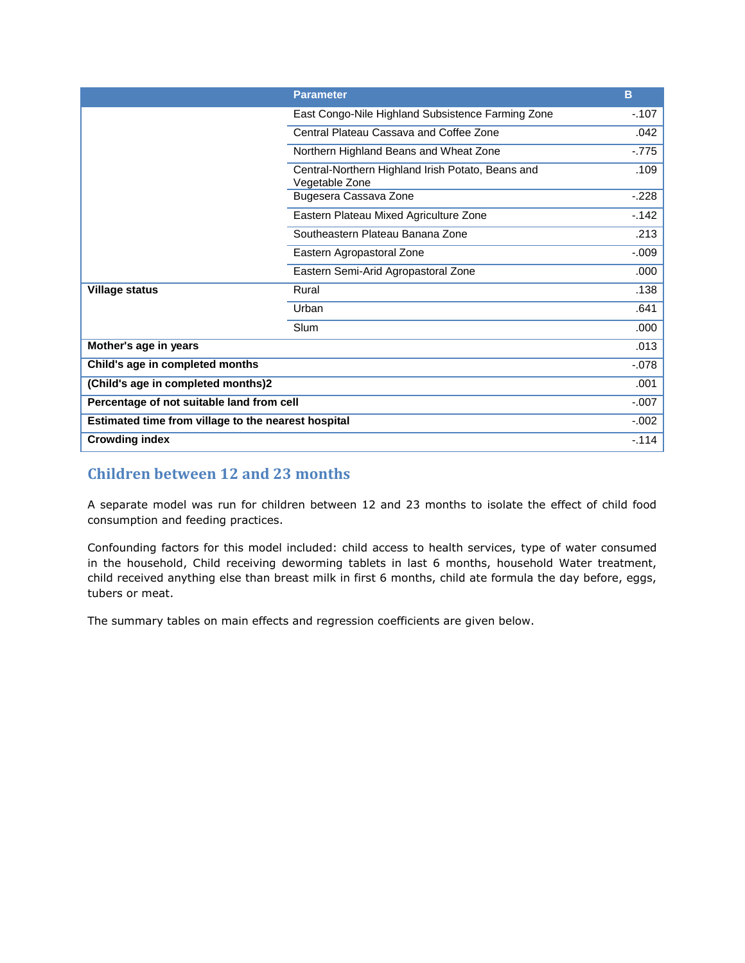|                                                     | <b>Parameter</b>                                                    | B        |
|-----------------------------------------------------|---------------------------------------------------------------------|----------|
|                                                     | East Congo-Nile Highland Subsistence Farming Zone                   | $-.107$  |
|                                                     | Central Plateau Cassava and Coffee Zone                             | .042     |
|                                                     | Northern Highland Beans and Wheat Zone                              | $-775$   |
|                                                     | Central-Northern Highland Irish Potato, Beans and<br>Vegetable Zone | .109     |
|                                                     | Bugesera Cassava Zone                                               | $-.228$  |
|                                                     | Eastern Plateau Mixed Agriculture Zone                              | $-142$   |
|                                                     | Southeastern Plateau Banana Zone                                    | .213     |
|                                                     | Eastern Agropastoral Zone                                           | $-0.09$  |
|                                                     | Eastern Semi-Arid Agropastoral Zone                                 | .000     |
| <b>Village status</b>                               | Rural                                                               | .138     |
|                                                     | Urban                                                               | .641     |
|                                                     | Slum                                                                | .000     |
| Mother's age in years                               |                                                                     | .013     |
| Child's age in completed months                     |                                                                     | $-078$   |
| (Child's age in completed months)2                  |                                                                     | .001     |
| Percentage of not suitable land from cell           |                                                                     | $-.007$  |
| Estimated time from village to the nearest hospital |                                                                     | $-0.002$ |
| <b>Crowding index</b>                               |                                                                     | $-114$   |

# **Children between 12 and 23 months**

A separate model was run for children between 12 and 23 months to isolate the effect of child food consumption and feeding practices.

Confounding factors for this model included: child access to health services, type of water consumed in the household, Child receiving deworming tablets in last 6 months, household Water treatment, child received anything else than breast milk in first 6 months, child ate formula the day before, eggs, tubers or meat.

The summary tables on main effects and regression coefficients are given below.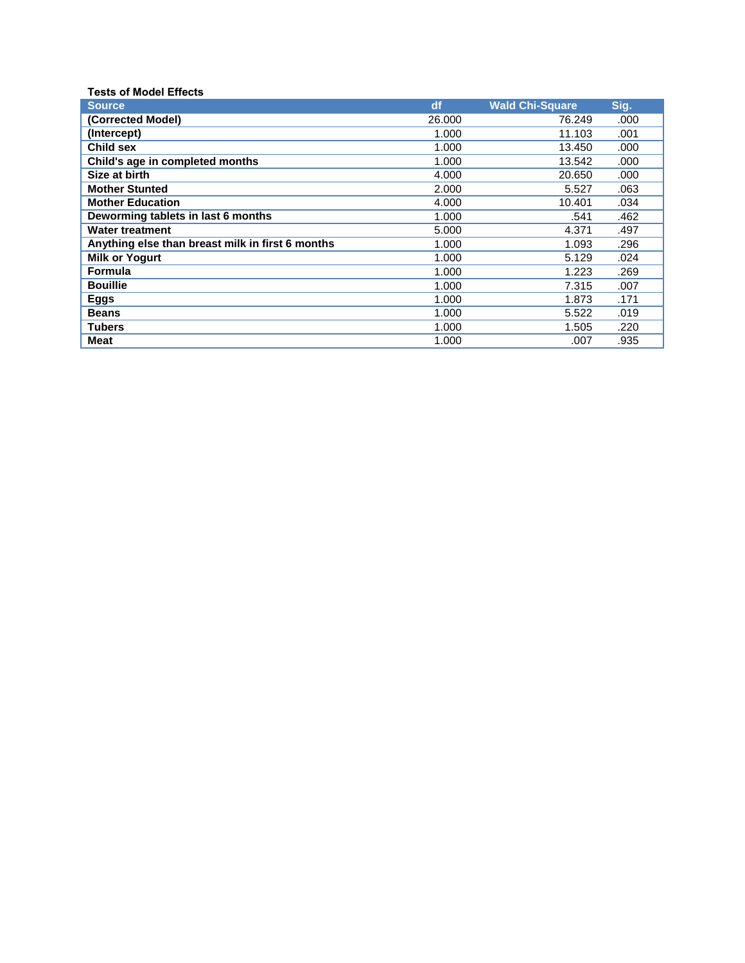| <b>Tests of Model Effects</b>                    |        |                        |      |
|--------------------------------------------------|--------|------------------------|------|
| <b>Source</b>                                    | df     | <b>Wald Chi-Square</b> | Sig. |
| (Corrected Model)                                | 26.000 | 76.249                 | .000 |
| (Intercept)                                      | 1.000  | 11.103                 | .001 |
| <b>Child sex</b>                                 | 1.000  | 13.450                 | .000 |
| Child's age in completed months                  | 1.000  | 13.542                 | .000 |
| Size at birth                                    | 4.000  | 20.650                 | .000 |
| <b>Mother Stunted</b>                            | 2.000  | 5.527                  | .063 |
| <b>Mother Education</b>                          | 4.000  | 10.401                 | .034 |
| Deworming tablets in last 6 months               | 1.000  | .541                   | .462 |
| <b>Water treatment</b>                           | 5.000  | 4.371                  | .497 |
| Anything else than breast milk in first 6 months | 1.000  | 1.093                  | .296 |
| <b>Milk or Yogurt</b>                            | 1.000  | 5.129                  | .024 |
| Formula                                          | 1.000  | 1.223                  | .269 |
| <b>Bouillie</b>                                  | 1.000  | 7.315                  | .007 |
| <b>Eggs</b>                                      | 1.000  | 1.873                  | .171 |
| <b>Beans</b>                                     | 1.000  | 5.522                  | .019 |
| <b>Tubers</b>                                    | 1.000  | 1.505                  | .220 |
| <b>Meat</b>                                      | 1.000  | .007                   | .935 |